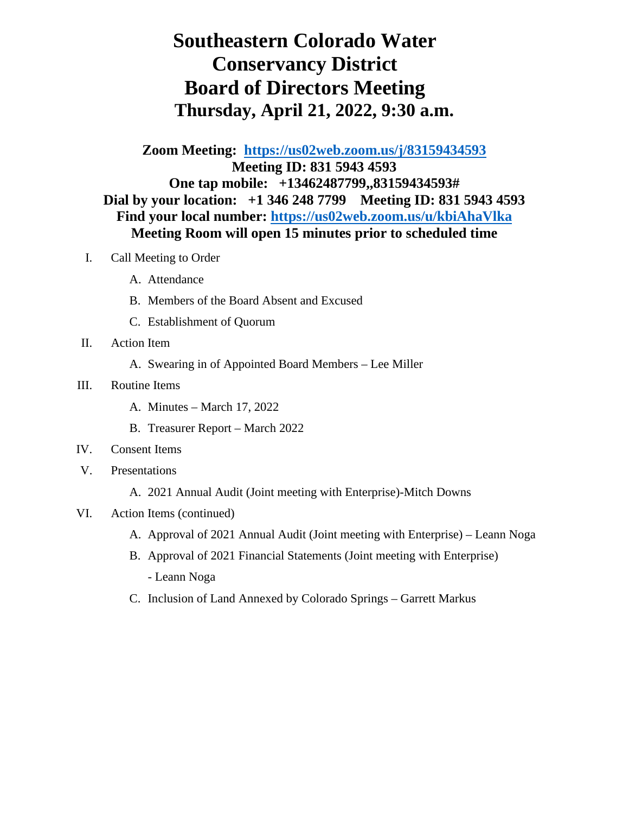## **Southeastern Colorado Water Conservancy District Board of Directors Meeting Thursday, April 21, 2022, 9:30 a.m.**

**Zoom Meeting: <https://us02web.zoom.us/j/83159434593> Meeting ID: 831 5943 4593 One tap mobile: +13462487799,,83159434593# Dial by your location: +1 346 248 7799 Meeting ID: 831 5943 4593 Find your local number:<https://us02web.zoom.us/u/kbiAhaVlka> Meeting Room will open 15 minutes prior to scheduled time**

- I. Call Meeting to Order
	- A. Attendance
	- B. Members of the Board Absent and Excused
	- C. Establishment of Quorum
- II. Action Item
	- A. Swearing in of Appointed Board Members Lee Miller
- III. Routine Items
	- A. Minutes March 17, 2022
	- B. Treasurer Report March 2022
- IV. Consent Items
- V. Presentations
	- A. 2021 Annual Audit (Joint meeting with Enterprise)-Mitch Downs
- VI. Action Items (continued)
	- A. Approval of 2021 Annual Audit (Joint meeting with Enterprise) Leann Noga
	- B. Approval of 2021 Financial Statements (Joint meeting with Enterprise) - Leann Noga
	- C. Inclusion of Land Annexed by Colorado Springs Garrett Markus